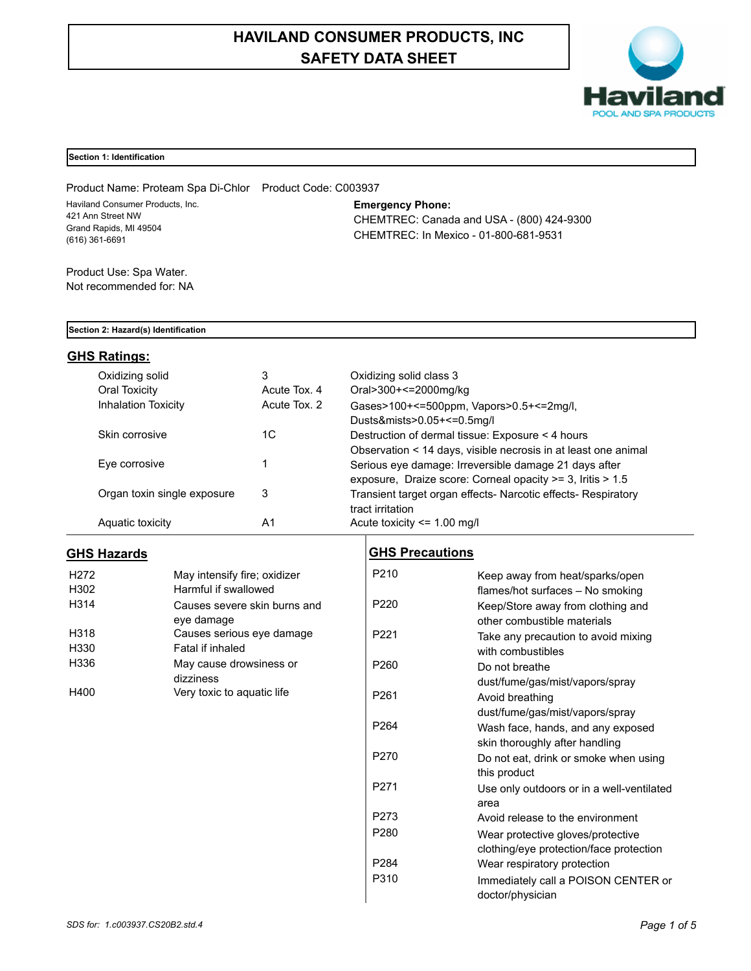# **HAVILAND CONSUMER PRODUCTS, INC SAFETY DATA SHEET**



## **Section 1: Identification**

Product Name: Proteam Spa Di-Chlor Product Code: C003937 Haviland Consumer Products, Inc. 421 Ann Street NW Grand Rapids, MI 49504 (616) 361-6691

## **Emergency Phone:**

CHEMTREC: Canada and USA - (800) 424-9300 CHEMTREC: In Mexico - 01-800-681-9531

Product Use: Spa Water. Not recommended for: NA

#### **Section 2: Hazard(s) Identification**

## **GHS Ratings:**

| Oxidizing solid             | 3            | Oxidizing solid class 3                                        |
|-----------------------------|--------------|----------------------------------------------------------------|
| Oral Toxicity               | Acute Tox, 4 | Oral>300+<=2000mg/kg                                           |
| <b>Inhalation Toxicity</b>  | Acute Tox. 2 | Gases>100+<=500ppm, Vapors>0.5+<=2mg/l,                        |
|                             |              | Dusts&mists>0.05+<=0.5mg/l                                     |
| Skin corrosive              | 1C           | Destruction of dermal tissue: Exposure < 4 hours               |
|                             |              | Observation < 14 days, visible necrosis in at least one animal |
| Eye corrosive               |              | Serious eye damage: Irreversible damage 21 days after          |
|                             |              | exposure, Draize score: Corneal opacity $>=$ 3, Iritis $>$ 1.5 |
| Organ toxin single exposure | 3            | Transient target organ effects- Narcotic effects- Respiratory  |
|                             |              | tract irritation                                               |
| Aquatic toxicity            | A1           | Acute toxicity $\leq$ 1.00 mg/l                                |

## **GHS Hazards**

| H <sub>272</sub> | May intensify fire; oxidizer |
|------------------|------------------------------|
| H302             | Harmful if swallowed         |
| H314             | Causes severe skin burns and |
|                  | eye damage                   |
| H318             | Causes serious eye damage    |
| H330             | Fatal if inhaled             |
| H336             | May cause drowsiness or      |
|                  | dizziness                    |
| H400             | Very toxic to aquatic life   |

## **GHS Precautions**

| Keep away from heat/sparks/open           |
|-------------------------------------------|
| flames/hot surfaces - No smoking          |
| Keep/Store away from clothing and         |
| other combustible materials               |
| Take any precaution to avoid mixing       |
| with combustibles                         |
| Do not breathe                            |
| dust/fume/gas/mist/vapors/spray           |
| Avoid breathing                           |
| dust/fume/gas/mist/vapors/spray           |
| Wash face, hands, and any exposed         |
| skin thoroughly after handling            |
| Do not eat, drink or smoke when using     |
| this product                              |
| Use only outdoors or in a well-ventilated |
| area                                      |
| Avoid release to the environment          |
| Wear protective gloves/protective         |
| clothing/eye protection/face protection   |
| Wear respiratory protection               |
| Immediately call a POISON CENTER or       |
| doctor/physician                          |
|                                           |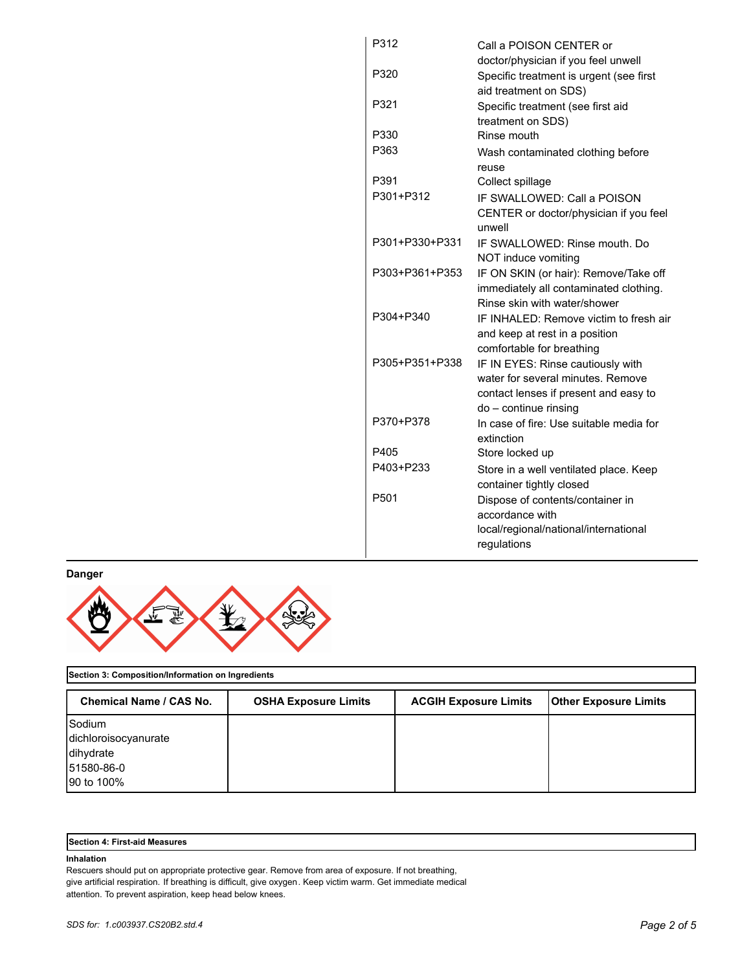| P312             | Call a POISON CENTER or                             |
|------------------|-----------------------------------------------------|
|                  | doctor/physician if you feel unwell                 |
| P320             | Specific treatment is urgent (see first             |
|                  | aid treatment on SDS)                               |
| P321             | Specific treatment (see first aid                   |
|                  | treatment on SDS)                                   |
| P330             | Rinse mouth                                         |
| P363             | Wash contaminated clothing before                   |
|                  | reuse                                               |
| P391             | Collect spillage                                    |
| P301+P312        | IF SWALLOWED: Call a POISON                         |
|                  | CENTER or doctor/physician if you feel<br>unwell    |
| P301+P330+P331   | IF SWALLOWED: Rinse mouth, Do                       |
|                  | NOT induce vomiting                                 |
| P303+P361+P353   | IF ON SKIN (or hair): Remove/Take off               |
|                  | immediately all contaminated clothing.              |
|                  | Rinse skin with water/shower                        |
| P304+P340        | IF INHALED: Remove victim to fresh air              |
|                  | and keep at rest in a position                      |
|                  | comfortable for breathing                           |
| P305+P351+P338   | IF IN EYES: Rinse cautiously with                   |
|                  | water for several minutes. Remove                   |
|                  | contact lenses if present and easy to               |
| P370+P378        | do - continue rinsing                               |
|                  | In case of fire: Use suitable media for             |
| P405             | extinction                                          |
| P403+P233        | Store locked up                                     |
|                  | Store in a well ventilated place. Keep              |
| P <sub>501</sub> | container tightly closed                            |
|                  | Dispose of contents/container in<br>accordance with |
|                  | local/regional/national/international               |
|                  | regulations                                         |
|                  |                                                     |

**Danger**



## **Section 3: Composition/Information on Ingredients**

| Chemical Name / CAS No. | <b>OSHA Exposure Limits</b> | <b>ACGIH Exposure Limits</b> | <b>Other Exposure Limits</b> |
|-------------------------|-----------------------------|------------------------------|------------------------------|
| Sodium                  |                             |                              |                              |
| dichloroisocyanurate    |                             |                              |                              |
| dihydrate               |                             |                              |                              |
| 51580-86-0              |                             |                              |                              |
| 90 to 100%              |                             |                              |                              |

| <b>Section 4: First-aid Measures</b> |
|--------------------------------------|
|--------------------------------------|

## **Inhalation**

Rescuers should put on appropriate protective gear. Remove from area of exposure. If not breathing, give artificial respiration. If breathing is difficult, give oxygen. Keep victim warm. Get immediate medical attention. To prevent aspiration, keep head below knees.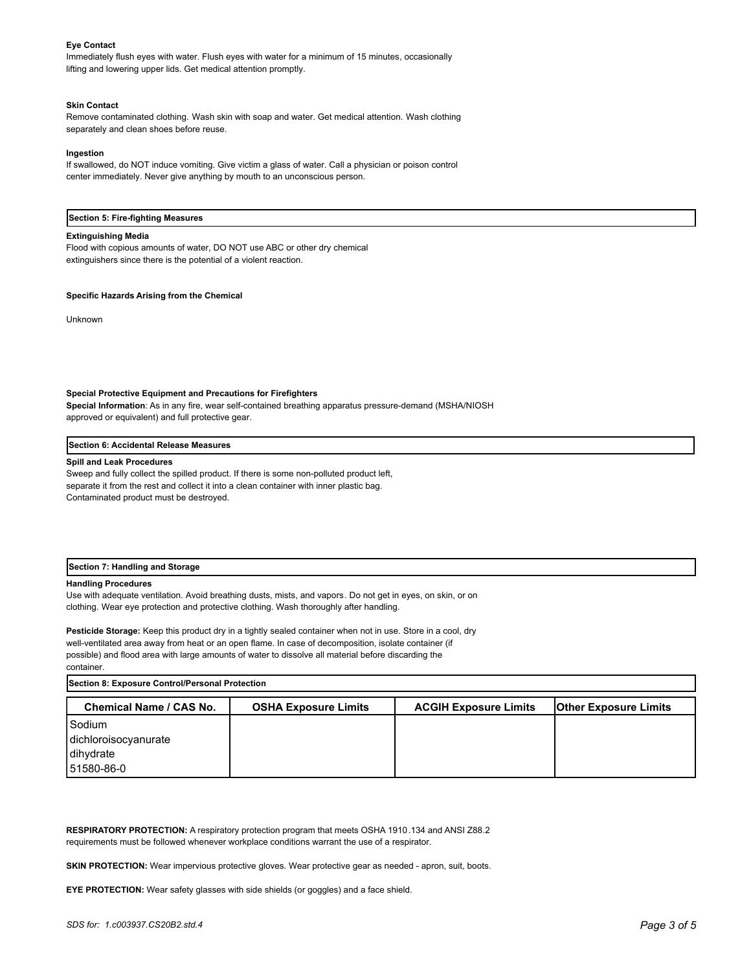#### **Eye Contact**

Immediately flush eyes with water. Flush eyes with water for a minimum of 15 minutes, occasionally lifting and lowering upper lids. Get medical attention promptly.

#### **Skin Contact**

Remove contaminated clothing. Wash skin with soap and water. Get medical attention. Wash clothing separately and clean shoes before reuse.

#### **Ingestion**

If swallowed, do NOT induce vomiting. Give victim a glass of water. Call a physician or poison control center immediately. Never give anything by mouth to an unconscious person.

#### **Section 5: Fire-fighting Measures**

#### **Extinguishing Media**

Flood with copious amounts of water, DO NOT use ABC or other dry chemical extinguishers since there is the potential of a violent reaction.

#### **Specific Hazards Arising from the Chemical**

Unknown

#### **Special Protective Equipment and Precautions for Firefighters**

**Special Information**: As in any fire, wear self-contained breathing apparatus pressure-demand (MSHA/NIOSH approved or equivalent) and full protective gear.

#### **Section 6: Accidental Release Measures**

#### **Spill and Leak Procedures**

Sweep and fully collect the spilled product. If there is some non-polluted product left, separate it from the rest and collect it into a clean container with inner plastic bag. Contaminated product must be destroyed.

#### **Section 7: Handling and Storage**

#### **Handling Procedures**

Use with adequate ventilation. Avoid breathing dusts, mists, and vapors. Do not get in eyes, on skin, or on clothing. Wear eye protection and protective clothing. Wash thoroughly after handling.

**Pesticide Storage:** Keep this product dry in a tightly sealed container when not in use. Store in a cool, dry well-ventilated area away from heat or an open flame. In case of decomposition, isolate container (if possible) and flood area with large amounts of water to dissolve all material before discarding the container.

**Section 8: Exposure Control/Personal Protection Chemical Name / CAS No. OSHA Exposure Limits ACGIH Exposure Limits Other Exposure Limits** Sodium dichloroisocyanurate dihydrate 51580-86-0

**RESPIRATORY PROTECTION:** A respiratory protection program that meets OSHA 1910.134 and ANSI Z88.2 requirements must be followed whenever workplace conditions warrant the use of a respirator.

**SKIN PROTECTION:** Wear impervious protective gloves. Wear protective gear as needed - apron, suit, boots.

**EYE PROTECTION:** Wear safety glasses with side shields (or goggles) and a face shield.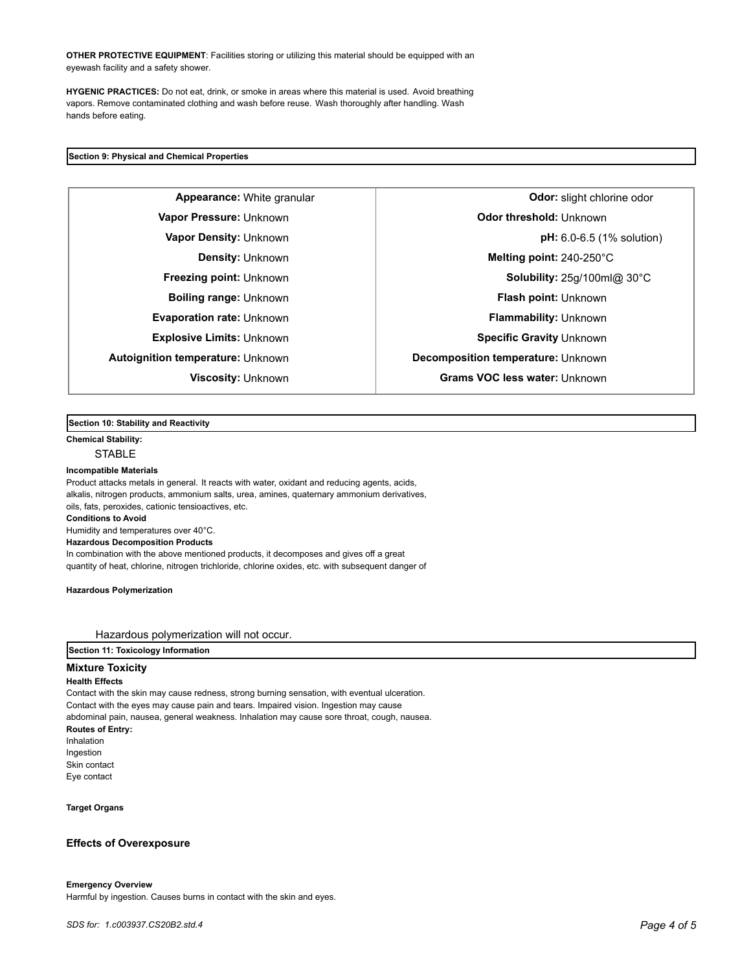**OTHER PROTECTIVE EQUIPMENT**: Facilities storing or utilizing this material should be equipped with an eyewash facility and a safety shower.

**HYGENIC PRACTICES:** Do not eat, drink, or smoke in areas where this material is used. Avoid breathing vapors. Remove contaminated clothing and wash before reuse. Wash thoroughly after handling. Wash hands before eating.

## **Section 9: Physical and Chemical Properties**

**Autoignition temperature:** Unknown **Decomposition temperature:** Unknown

**Appearance:** White granular **Constanting in the set of the September of Constantine odor: slight chlorine odor Vapor Pressure:** Unknown **CODO CONSTRESS (UNKNOWN CONSTRESS ODDER Odor threshold:** Unknown **Vapor Density:** Unknown **pH:** 6.0-6.5 (1% solution) **Density:** Unknown **Melting point:** 240-250°C **Freezing point:** Unknown **Solubility:** 25g/100ml@ 30°C **Boiling range:** Unknown **Flash point: Unknown Evaporation rate:** Unknown **Flammability:** Unknown **Explosive Limits:** Unknown **Specific Gravity** Unknown **Specific Gravity** Unknown **Viscosity:** Unknown **Grams VOC less water:** Unknown

#### **Section 10: Stability and Reactivity**

**Chemical Stability:**

**STABLE** 

#### **Incompatible Materials**

Product attacks metals in general. It reacts with water, oxidant and reducing agents, acids, alkalis, nitrogen products, ammonium salts, urea, amines, quaternary ammonium derivatives, oils, fats, peroxides, cationic tensioactives, etc. **Conditions to Avoid** Humidity and temperatures over 40°C. **Hazardous Decomposition Products** In combination with the above mentioned products, it decomposes and gives off a great quantity of heat, chlorine, nitrogen trichloride, chlorine oxides, etc. with subsequent danger of

**Hazardous Polymerization**

Hazardous polymerization will not occur.

**Section 11: Toxicology Information**

## **Mixture Toxicity**

**Health Effects**

Contact with the skin may cause redness, strong burning sensation, with eventual ulceration. Contact with the eyes may cause pain and tears. Impaired vision. Ingestion may cause abdominal pain, nausea, general weakness. Inhalation may cause sore throat, cough, nausea. **Routes of Entry:** Inhalation Ingestion Skin contact Eye contact

**Target Organs**

#### **Effects of Overexposure**